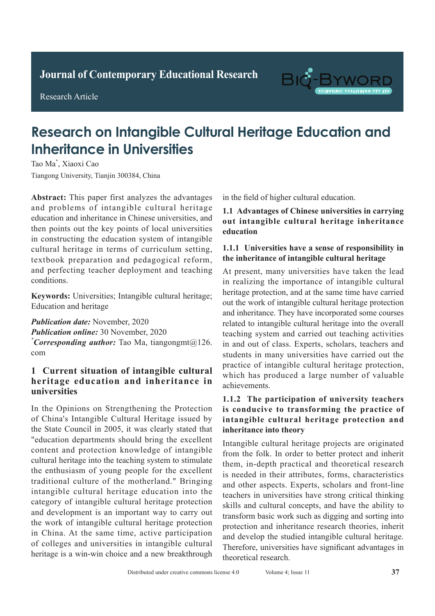**Journal of Clinical and Nursing Research Journal of Contemporary Educational Research**

**Research Article** 

Research Article



# **Research on Intangible Cultural Heritage Education and Inheritance in Universities**

Tao Ma<sup>\*</sup>, Xiaoxi Cao Tiangong University, Tianjin 300384, China

Abstract: This paper first analyzes the advantages and problems of intangible cultural heritage education and inheritance in Chinese universities, and then points out the key points of local universities in constructing the education system of intangible cultural heritage in terms of curriculum setting, textbook preparation and pedagogical reform, and perfecting teacher deployment and teaching conditions. conditions.

Keywords: Universities; Intangible cultural heritage; *Reducation and heritage* site is a contract the detection rate of a contract  $\frac{1}{2}$  $\mathbf{t}_\text{max}$  signs by the two methods were compared.

**Publication date:** November, 2020 **Publication online:** 30 November, 2020 *\* Corresponding author:* Tao Ma, tiangongmt@126. rate of 92.00% (*P*>0.05) in the conventional chest com statistically significant compared with the detection

#### **1 Current situation of intangible cultural** heritage education and inheritance in **universities**  $\frac{1}{2}$  Current situation of intangible cultural  $u$  which was significantly higher than that of conventional than that of conventional  $u$

pulmonary tuberculosis signs was 98.85% higher than In the Opinions on Strengthening the Protection of China's Intangible Cultural Heritage issued by the State Council in 2005, it was clearly stated that "education departments should bring the excellent content and protection knowledge of intangible cultural heritage into the teaching system to stimulate the enthusiasm of young people for the excellent intangible cultural heritage education into the category of intangible cultural heritage protection and development is an important way to carry out the work of intangible cultural heritage protection in China. At the same time, active participation  $\epsilon$ of colleges and universities in intangible cultural bet concepts and antiversities in intelligence candidate the principal of  $P$ traditional culture of the motherland." Bringing *\*Corresponding author:* Ruishu Wang, wrs26121939@

in the field of higher cultural education.

1.1 Advantages of Chinese universities in carrying bacteria, and has a high infectivity and the mortality and more contained in the more contained in the more co **1.1 Advantages of Chinese universities in carrying out intangible cultural heritage inheritance**<br>education  $\frac{1}{\sqrt{2}}$ **education** 

#### **1.1.1 Universities have a sense of responsibility in** 1.1.1 Universities have a sense of responsibility in the inheritance of intangible cultural heritage int mntrhantt of miangiont tunural htriagt

At present, many universities have taken the lead In present, many antiversities have taken the read heritage protection, and at the same time have carried out the work of intangible cultural heritage protection and inheritance. They have incorporated some courses related to intangible cultural heritage into the overall teaching system and carried out teaching activities in and out of class. Experts, scholars, teachers and the diagnosis of tubes. Experie, senotary, calculate and students in many universities have carried out the practice of intangible cultural heritage protection, processor of mungione euronic nervoles procession, which has produced a large number of valuable<br>convenients  $b_{\text{min}}$ achievements. and inheritance. They have incorporated some courses<br>related to intangible cultural heritage into the overall<br>teaching system and carried out teaching activities<br>in and out of class. Experts, scholars, teachers and<br>student

# 1.1.2 The participation of university teachers is conducive to transforming the practice of intangible cultural heritage protection and intuity is to tube the *internation* operation, the international safety in the *internation*, the *internation*, the *internation*, the *internation*, the *internation*, the *internation*, the *internation*, the *internat*

Intangible cultural heritage projects are originated from the folk. In order to better protect and inherit **1 Information and methods** is needed in their attributes, forms, characteristics **1.1 General information** teachers in universities have strong critical thinking skills and cultural concepts, and have the ability to transform basic work such as digging and sorting into protection and inheritance research theories, inherit and develop the studied intangible cultural heritage. Therefore, universities have significant advantages in theoretical research. them, in-depth practical and theoretical research and other aspects. Experts, scholars and front-line order to find an effective diagnostic method for active diagnostic method for active  $\frac{d}{dt}$ mangione cultural heritage projects are originated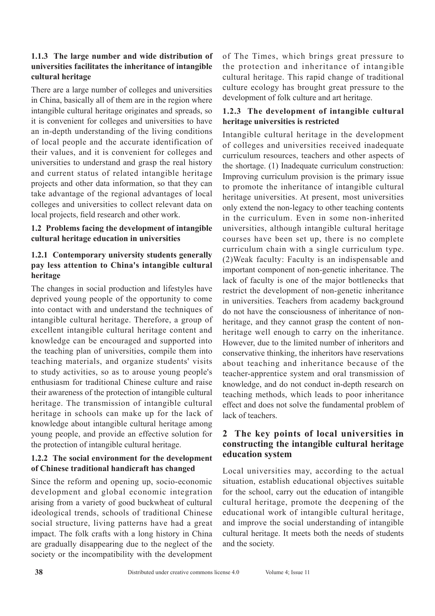### **1.1.3 The large number and wide distribution of universities facilitates the inheritance of intangible cultural heritage**

There are a large number of colleges and universities in China, basically all of them are in the region where intangible cultural heritage originates and spreads, so it is convenient for colleges and universities to have an in-depth understanding of the living conditions of local people and the accurate identification of their values, and it is convenient for colleges and universities to understand and grasp the real history and current status of related intangible heritage projects and other data information, so that they can take advantage of the regional advantages of local colleges and universities to collect relevant data on local projects, field research and other work.

# **1.2 Problems facing the development of intangible cultural heritage education in universities**

### **1.2.1 Contemporary university students generally pay less attention to China's intangible cultural heritage**

The changes in social production and lifestyles have deprived young people of the opportunity to come into contact with and understand the techniques of intangible cultural heritage. Therefore, a group of excellent intangible cultural heritage content and knowledge can be encouraged and supported into the teaching plan of universities, compile them into teaching materials, and organize students' visits to study activities, so as to arouse young people's enthusiasm for traditional Chinese culture and raise their awareness of the protection of intangible cultural heritage. The transmission of intangible cultural heritage in schools can make up for the lack of knowledge about intangible cultural heritage among young people, and provide an effective solution for the protection of intangible cultural heritage.

### **1.2.2 The social environment for the development of Chinese traditional handicraft has changed**

Since the reform and opening up, socio-economic development and global economic integration arising from a variety of good buckwheat of cultural ideological trends, schools of traditional Chinese social structure, living patterns have had a great impact. The folk crafts with a long history in China are gradually disappearing due to the neglect of the society or the incompatibility with the development of The Times, which brings great pressure to the protection and inheritance of intangible cultural heritage. This rapid change of traditional culture ecology has brought great pressure to the development of folk culture and art heritage.

# **1.2.3 The development of intangible cultural heritage universities is restricted**

Intangible cultural heritage in the development of colleges and universities received inadequate curriculum resources, teachers and other aspects of the shortage. (1) Inadequate curriculum construction: Improving curriculum provision is the primary issue to promote the inheritance of intangible cultural heritage universities. At present, most universities only extend the non-legacy to other teaching contents in the curriculum. Even in some non-inherited universities, although intangible cultural heritage courses have been set up, there is no complete curriculum chain with a single curriculum type. (2)Weak faculty: Faculty is an indispensable and important component of non-genetic inheritance. The lack of faculty is one of the major bottlenecks that restrict the development of non-genetic inheritance in universities. Teachers from academy background do not have the consciousness of inheritance of nonheritage, and they cannot grasp the content of nonheritage well enough to carry on the inheritance. However, due to the limited number of inheritors and conservative thinking, the inheritors have reservations about teaching and inheritance because of the teacher-apprentice system and oral transmission of knowledge, and do not conduct in-depth research on teaching methods, which leads to poor inheritance effect and does not solve the fundamental problem of lack of teachers.

## **2 The key points of local universities in constructing the intangible cultural heritage education system**

Local universities may, according to the actual situation, establish educational objectives suitable for the school, carry out the education of intangible cultural heritage, promote the deepening of the educational work of intangible cultural heritage, and improve the social understanding of intangible cultural heritage. It meets both the needs of students and the society.